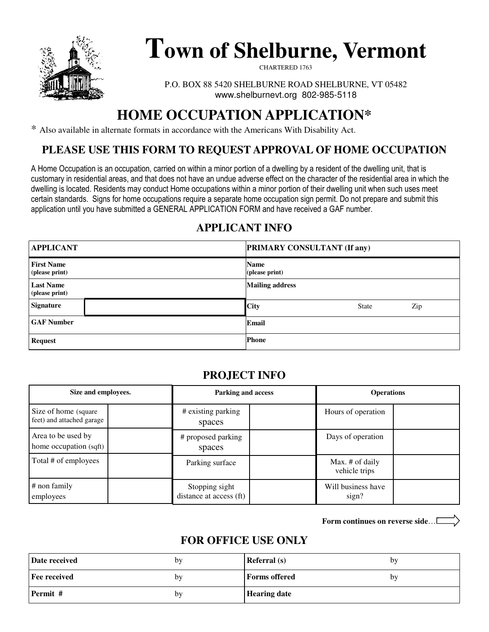

# **Town of Shelburne, Vermont**

CHARTERED 1763

P.O. BOX 88 5420 SHELBURNE ROAD SHELBURNE, VT 05482 www.shelburnevt.org 802-985-5118

# **HOME OCCUPATION APPLICATION\***

\* Also available in alternate formats in accordance with the Americans With Disability Act.

#### **PLEASE USE THIS FORM TO REQUEST APPROVAL OF HOME OCCUPATION**

A Home Occupation is an occupation, carried on within a minor portion of a dwelling by a resident of the dwelling unit, that is customary in residential areas, and that does not have an undue adverse effect on the character of the residential area in which the dwelling is located. Residents may conduct Home occupations within a minor portion of their dwelling unit when such uses meet certain standards. Signs for home occupations require a separate home occupation sign permit. Do not prepare and submit this application until you have submitted a GENERAL APPLICATION FORM and have received a GAF number.

### **APPLICANT INFO**

| <b>APPLICANT</b>                    | <b>PRIMARY CONSULTANT (If any)</b> |
|-------------------------------------|------------------------------------|
| <b>First Name</b><br>(please print) | <b>Name</b><br>(please print)      |
| <b>Last Name</b><br>(please print)  | <b>Mailing address</b>             |
| <b>Signature</b>                    | <b>City</b><br>Zip<br><b>State</b> |
| <b>GAF Number</b>                   | Email                              |
| <b>Request</b>                      | <b>Phone</b>                       |

#### **PROJECT INFO**

| Size and employees.                                | Parking and access                        | <b>Operations</b>                |  |
|----------------------------------------------------|-------------------------------------------|----------------------------------|--|
| Size of home (square)<br>feet) and attached garage | # existing parking<br>spaces              | Hours of operation               |  |
| Area to be used by<br>home occupation (sqft)       | # proposed parking<br>spaces              | Days of operation                |  |
| Total # of employees                               | Parking surface                           | Max. # of daily<br>vehicle trips |  |
| # non family<br>employees                          | Stopping sight<br>distance at access (ft) | Will business have<br>sign?      |  |

**Form continues on reverse side**…

#### **FOR OFFICE USE ONLY**

| Date received | bv | <b>Referral</b> (s)  | by |
|---------------|----|----------------------|----|
| Fee received  | by | <b>Forms offered</b> | by |
| Permit #      | by | <b>Hearing date</b>  |    |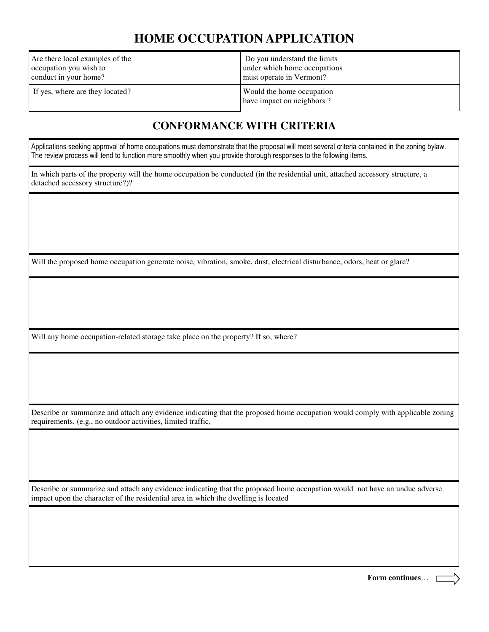# **HOME OCCUPATION APPLICATION**

| Are there local examples of the | Do you understand the limits                           |
|---------------------------------|--------------------------------------------------------|
| occupation you wish to          | under which home occupations                           |
| conduct in your home?           | must operate in Vermont?                               |
| If yes, where are they located? | Would the home occupation<br>have impact on neighbors? |

#### **CONFORMANCE WITH CRITERIA**

Applications seeking approval of home occupations must demonstrate that the proposal will meet several criteria contained in the zoning bylaw. The review process will tend to function more smoothly when you provide thorough responses to the following items.

In which parts of the property will the home occupation be conducted (in the residential unit, attached accessory structure, a detached accessory structure?)?

Will the proposed home occupation generate noise, vibration, smoke, dust, electrical disturbance, odors, heat or glare?

Will any home occupation-related storage take place on the property? If so, where?

Describe or summarize and attach any evidence indicating that the proposed home occupation would comply with applicable zoning requirements. (e.g., no outdoor activities, limited traffic,

Describe or summarize and attach any evidence indicating that the proposed home occupation would not have an undue adverse impact upon the character of the residential area in which the dwelling is located

**Form continues**…